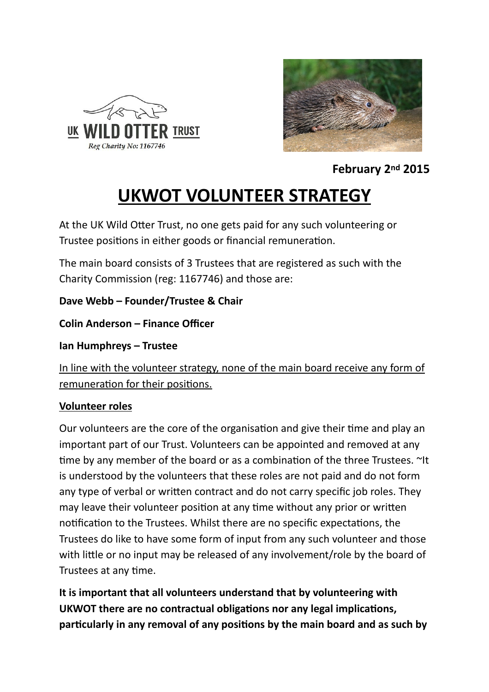



**February 2nd 2015** 

## **UKWOT VOLUNTEER STRATEGY**

At the UK Wild Otter Trust, no one gets paid for any such volunteering or Trustee positions in either goods or financial remuneration.

The main board consists of 3 Trustees that are registered as such with the Charity Commission (reg: 1167746) and those are:

**Dave Webb – Founder/Trustee & Chair** 

**Colin Anderson – Finance Officer** 

**Ian Humphreys – Trustee** 

In line with the volunteer strategy, none of the main board receive any form of remuneration for their positions.

## **Volunteer roles**

Our volunteers are the core of the organisation and give their time and play an important part of our Trust. Volunteers can be appointed and removed at any time by any member of the board or as a combination of the three Trustees.  $\sim$ It is understood by the volunteers that these roles are not paid and do not form any type of verbal or written contract and do not carry specific job roles. They may leave their volunteer position at any time without any prior or written notification to the Trustees. Whilst there are no specific expectations, the Trustees do like to have some form of input from any such volunteer and those with little or no input may be released of any involvement/role by the board of Trustees at any time.

**It is important that all volunteers understand that by volunteering with UKWOT there are no contractual obligations nor any legal implications,** particularly in any removal of any positions by the main board and as such by